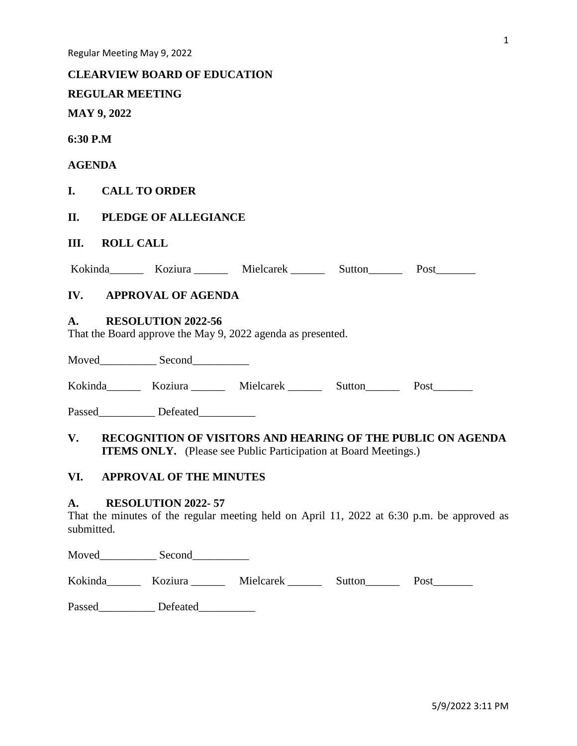#### **CLEARVIEW BOARD OF EDUCATION**

# **REGULAR MEETING**

**MAY 9, 2022**

**6:30 P.M**

## **AGENDA**

# **I. CALL TO ORDER**

# **II. PLEDGE OF ALLEGIANCE**

# **III. ROLL CALL**

|  | Kokinda | Koziura | Mielcarek | Sutton | Post |
|--|---------|---------|-----------|--------|------|
|--|---------|---------|-----------|--------|------|

# **IV. APPROVAL OF AGENDA**

## **A. RESOLUTION 2022-56**

That the Board approve the May 9, 2022 agenda as presented.

Moved\_\_\_\_\_\_\_\_\_\_ Second\_\_\_\_\_\_\_\_\_\_

Kokinda\_\_\_\_\_\_\_ Koziura \_\_\_\_\_\_ Mielcarek \_\_\_\_\_\_\_ Sutton\_\_\_\_\_\_ Post\_\_\_\_\_\_\_

Passed Defeated

# **V. RECOGNITION OF VISITORS AND HEARING OF THE PUBLIC ON AGENDA ITEMS ONLY.** (Please see Public Participation at Board Meetings.)

# **VI. APPROVAL OF THE MINUTES**

#### **A. RESOLUTION 2022- 57**

That the minutes of the regular meeting held on April 11, 2022 at 6:30 p.m. be approved as submitted.

Moved Second

Kokinda\_\_\_\_\_\_ Koziura \_\_\_\_\_ Mielcarek \_\_\_\_\_\_ Sutton\_\_\_\_\_ Post\_\_\_\_\_\_\_

Passed Defeated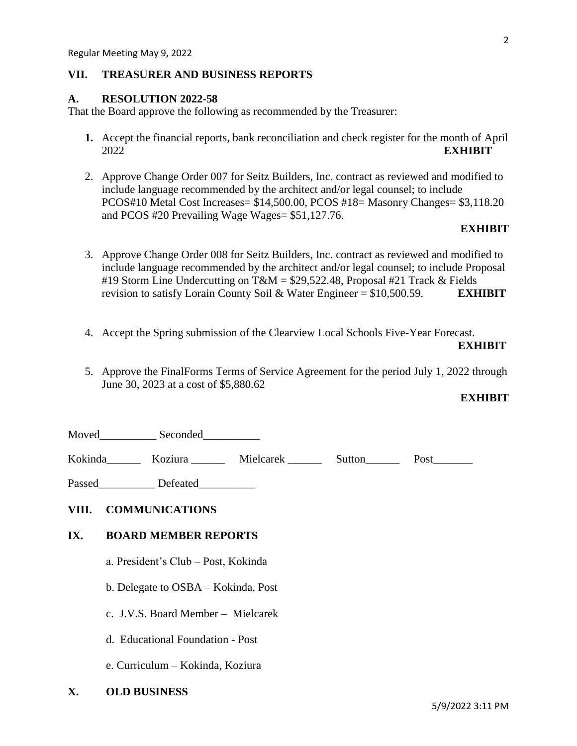#### **VII. TREASURER AND BUSINESS REPORTS**

## **A. RESOLUTION 2022-58**

That the Board approve the following as recommended by the Treasurer:

- **1.** Accept the financial reports, bank reconciliation and check register for the month of April 2022 **EXHIBIT**
- 2. Approve Change Order 007 for Seitz Builders, Inc. contract as reviewed and modified to include language recommended by the architect and/or legal counsel; to include PCOS#10 Metal Cost Increases= \$14,500.00, PCOS #18= Masonry Changes= \$3,118.20 and PCOS #20 Prevailing Wage Wages= \$51,127.76.

## **EXHIBIT**

- 3. Approve Change Order 008 for Seitz Builders, Inc. contract as reviewed and modified to include language recommended by the architect and/or legal counsel; to include Proposal #19 Storm Line Undercutting on T&M = \$29,522.48, Proposal #21 Track & Fields revision to satisfy Lorain County Soil & Water Engineer = \$10,500.59. **EXHIBIT**
- 4. Accept the Spring submission of the Clearview Local Schools Five-Year Forecast.

#### **EXHIBIT**

5. Approve the FinalForms Terms of Service Agreement for the period July 1, 2022 through June 30, 2023 at a cost of \$5,880.62

#### **EXHIBIT**

Moved Seconded

Kokinda Koziura Mielcarek Sutton Post

Passed\_\_\_\_\_\_\_\_\_\_\_\_\_ Defeated\_\_\_\_\_\_\_\_\_\_\_

# **VIII. COMMUNICATIONS**

# **IX. BOARD MEMBER REPORTS**

- a. President's Club Post, Kokinda
- b. Delegate to OSBA Kokinda, Post
- c. J.V.S. Board Member Mielcarek
- d. Educational Foundation Post
- e. Curriculum Kokinda, Koziura
- **X. OLD BUSINESS**

2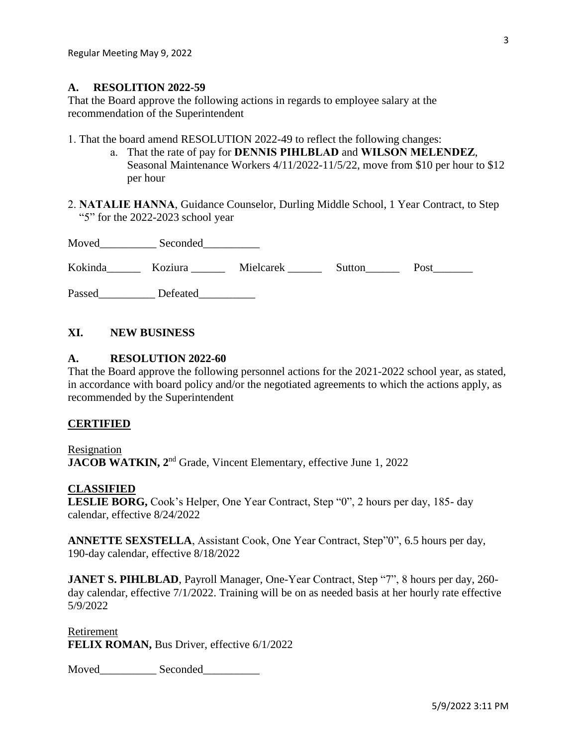#### **A. RESOLITION 2022-59**

That the Board approve the following actions in regards to employee salary at the recommendation of the Superintendent

1. That the board amend RESOLUTION 2022-49 to reflect the following changes:

- a. That the rate of pay for **DENNIS PIHLBLAD** and **WILSON MELENDEZ**, Seasonal Maintenance Workers 4/11/2022-11/5/22, move from \$10 per hour to \$12 per hour
- 2. **NATALIE HANNA**, Guidance Counselor, Durling Middle School, 1 Year Contract, to Step "5" for the 2022-2023 school year

| Moved   | Seconded |           |        |      |
|---------|----------|-----------|--------|------|
| Kokinda | Koziura  | Mielcarek | Sutton | Post |

Passed\_\_\_\_\_\_\_\_\_\_\_ Defeated\_\_\_\_\_\_\_\_\_

# **XI. NEW BUSINESS**

## **A. RESOLUTION 2022-60**

That the Board approve the following personnel actions for the 2021-2022 school year, as stated, in accordance with board policy and/or the negotiated agreements to which the actions apply, as recommended by the Superintendent

#### **CERTIFIED**

Resignation **JACOB WATKIN, 2<sup>nd</sup> Grade, Vincent Elementary, effective June 1, 2022** 

#### **CLASSIFIED**

**LESLIE BORG,** Cook's Helper, One Year Contract, Step "0", 2 hours per day, 185- day calendar, effective 8/24/2022

**ANNETTE SEXSTELLA**, Assistant Cook, One Year Contract, Step"0", 6.5 hours per day, 190-day calendar, effective 8/18/2022

JANET S. PIHLBLAD, Payroll Manager, One-Year Contract, Step "7", 8 hours per day, 260day calendar, effective 7/1/2022. Training will be on as needed basis at her hourly rate effective 5/9/2022

Retirement **FELIX ROMAN, Bus Driver, effective 6/1/2022** 

Moved Seconded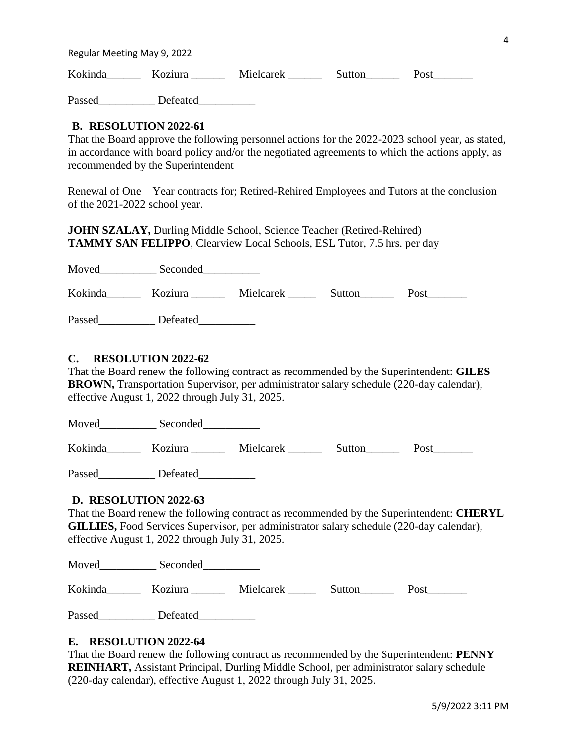Regular Meeting May 9, 2022

Kokinda \_\_\_\_\_ Koziura \_\_\_\_\_ Mielcarek \_\_\_\_\_\_ Sutton\_\_\_\_\_\_ Post\_\_\_\_\_\_\_

Passed Defeated

# **B. RESOLUTION 2022-61**

That the Board approve the following personnel actions for the 2022-2023 school year, as stated, in accordance with board policy and/or the negotiated agreements to which the actions apply, as recommended by the Superintendent

Renewal of One – Year contracts for; Retired-Rehired Employees and Tutors at the conclusion of the 2021-2022 school year.

**JOHN SZALAY,** Durling Middle School, Science Teacher (Retired-Rehired) **TAMMY SAN FELIPPO**, Clearview Local Schools, ESL Tutor, 7.5 hrs. per day

Moved\_\_\_\_\_\_\_\_\_\_ Seconded\_\_\_\_\_\_\_\_\_\_

| Kokinda<br>Koziura | Mielcarek | Sutton | Post |  |
|--------------------|-----------|--------|------|--|
|--------------------|-----------|--------|------|--|

Passed\_\_\_\_\_\_\_\_\_\_\_\_ Defeated\_\_\_\_\_\_\_\_\_\_\_\_

# **C. RESOLUTION 2022-62**

That the Board renew the following contract as recommended by the Superintendent: **GILES BROWN,** Transportation Supervisor, per administrator salary schedule (220-day calendar), effective August 1, 2022 through July 31, 2025.

Moved Seconded

Kokinda Koziura Mielcarek Sutton Post

Passed Defeated

# **D. RESOLUTION 2022-63**

That the Board renew the following contract as recommended by the Superintendent: **CHERYL GILLIES,** Food Services Supervisor, per administrator salary schedule (220-day calendar), effective August 1, 2022 through July 31, 2025.

| Moved   | Seconded |           |        |      |
|---------|----------|-----------|--------|------|
| Kokinda | Koziura  | Mielcarek | Sutton | Post |

Passed Defeated

# **E. RESOLUTION 2022-64**

That the Board renew the following contract as recommended by the Superintendent: **PENNY REINHART,** Assistant Principal, Durling Middle School, per administrator salary schedule (220-day calendar), effective August 1, 2022 through July 31, 2025.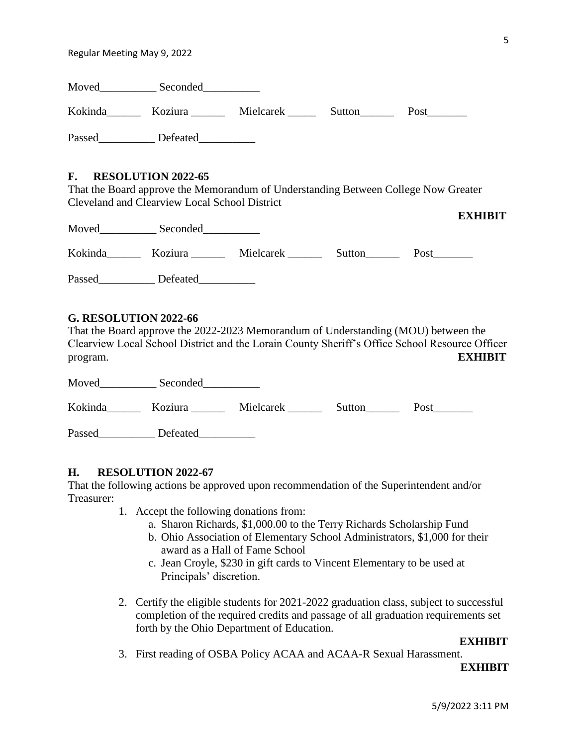| Moved   | Seconded |           |        |      |
|---------|----------|-----------|--------|------|
| Kokinda | Koziura  | Mielcarek | Sutton | Post |
| Passed  | Defeated |           |        |      |

#### **F. RESOLUTION 2022-65**

That the Board approve the Memorandum of Understanding Between College Now Greater Cleveland and Clearview Local School District

| Moved   | Seconded |           |        | етини |
|---------|----------|-----------|--------|-------|
| Kokinda | Koziura  | Mielcarek | Sutton | Post  |
| Passed  | Defeated |           |        |       |

#### **G. RESOLUTION 2022-66**

That the Board approve the 2022-2023 Memorandum of Understanding (MOU) between the Clearview Local School District and the Lorain County Sheriff's Office School Resource Officer program. **EXHIBIT**

| Moved   | Seconded |           |        |      |
|---------|----------|-----------|--------|------|
| Kokinda | Koziura  | Mielcarek | Sutton | Post |
| Passed  | Defeated |           |        |      |

#### **H. RESOLUTION 2022-67**

That the following actions be approved upon recommendation of the Superintendent and/or Treasurer:

- 1. Accept the following donations from:
	- a. Sharon Richards, \$1,000.00 to the Terry Richards Scholarship Fund
	- b. Ohio Association of Elementary School Administrators, \$1,000 for their award as a Hall of Fame School
	- c. Jean Croyle, \$230 in gift cards to Vincent Elementary to be used at Principals' discretion.
- 2. Certify the eligible students for 2021-2022 graduation class, subject to successful completion of the required credits and passage of all graduation requirements set forth by the Ohio Department of Education.

#### **EXHIBIT**

3. First reading of OSBA Policy ACAA and ACAA-R Sexual Harassment.

#### **EXHIBIT**

**EXHIBIT**